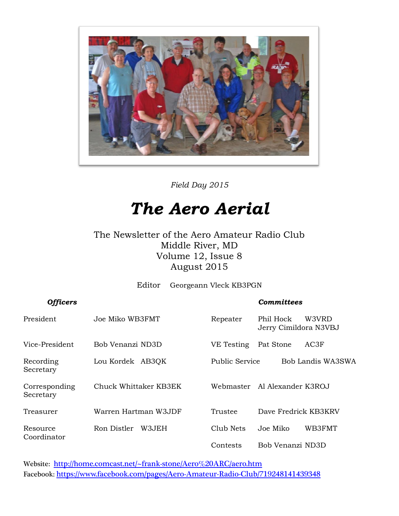

*Field Day 2015*

## *The Aero Aerial*

The Newsletter of the Aero Amateur Radio Club Middle River, MD Volume 12, Issue 8 August 2015

Editor Georgeann Vleck KB3PGN

*Officers Committees*

| President                  | Joe Miko WB3FMT       | Repeater       | Phil Hock<br>W3VRD<br>Jerry Cimildora N3VBJ |  |
|----------------------------|-----------------------|----------------|---------------------------------------------|--|
| Vice-President             | Bob Venanzi ND3D      | VE Testing     | Pat Stone<br>AC3F                           |  |
| Recording<br>Secretary     | Lou Kordek AB3QK      | Public Service | Bob Landis WA3SWA                           |  |
| Corresponding<br>Secretary | Chuck Whittaker KB3EK | Webmaster      | Al Alexander K3ROJ                          |  |
| Treasurer                  | Warren Hartman W3JDF  | Trustee        | Dave Fredrick KB3KRV                        |  |
| Resource                   | W3JEH<br>Ron Distler  | Club Nets      | WB3FMT<br>Joe Miko                          |  |
| Coordinator                |                       | Contests       | Bob Venanzi ND3D                            |  |

Website: <http://home.comcast.net/~frank-stone/Aero%20ARC/aero.htm> Facebook: <https://www.facebook.com/pages/Aero-Amateur-Radio-Club/719248141439348>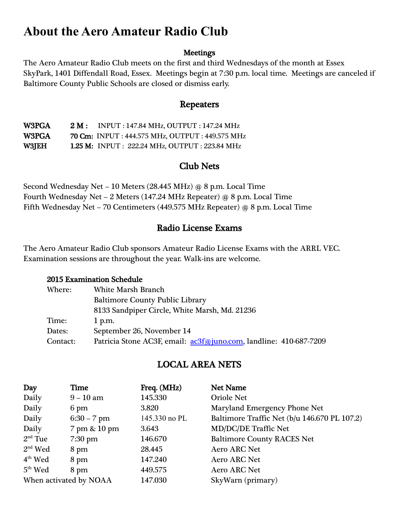### **About the Aero Amateur Radio Club**

#### **Meetings**

The Aero Amateur Radio Club meets on the first and third Wednesdays of the month at Essex SkyPark, 1401 Diffendall Road, Essex. Meetings begin at 7:30 p.m. local time. Meetings are canceled if Baltimore County Public Schools are closed or dismiss early.

#### Repeaters

W3PGA 2 M : INPUT : 147.84 MHz, OUTPUT : 147.24 MHz W3PGA 70 Cm: INPUT : 444.575 MHz, OUTPUT : 449.575 MHz W3JEH 1.25 M: INPUT : 222.24 MHz, OUTPUT : 223.84 MHz

#### Club Nets

Second Wednesday Net – 10 Meters (28.445 MHz) @ 8 p.m. Local Time Fourth Wednesday Net – 2 Meters (147.24 MHz Repeater) @ 8 p.m. Local Time Fifth Wednesday Net – 70 Centimeters (449.575 MHz Repeater) @ 8 p.m. Local Time

#### Radio License Exams

The Aero Amateur Radio Club sponsors Amateur Radio License Exams with the ARRL VEC. Examination sessions are throughout the year. Walk-ins are welcome.

#### 2015 Examination Schedule

| Where:   | <b>White Marsh Branch</b>                                         |
|----------|-------------------------------------------------------------------|
|          | <b>Baltimore County Public Library</b>                            |
|          | 8133 Sandpiper Circle, White Marsh, Md. 21236                     |
| Time:    | $1$ p.m.                                                          |
| Dates:   | September 26, November 14                                         |
| Contact: | Patricia Stone AC3F, email: ac3f@juno.com, landline: 410-687-7209 |

#### LOCAL AREA NETS

| Day                    | Time          | Freq. (MHz)   | <b>Net Name</b>                              |
|------------------------|---------------|---------------|----------------------------------------------|
| Daily                  | $9-10$ am     | 145.330       | <b>Oriole Net</b>                            |
| Daily                  | 6 pm          | 3.820         | Maryland Emergency Phone Net                 |
| Daily                  | $6:30 - 7$ pm | 145.330 no PL | Baltimore Traffic Net (b/u 146.670 PL 107.2) |
| Daily                  | 7 pm & 10 pm  | 3.643         | <b>MD/DC/DE Traffic Net</b>                  |
| $2nd$ Tue              | $7:30$ pm     | 146.670       | <b>Baltimore County RACES Net</b>            |
| $2nd$ Wed              | 8 pm          | 28.445        | <b>Aero ARC Net</b>                          |
| $4th$ Wed              | 8 pm          | 147.240       | <b>Aero ARC Net</b>                          |
| $5th$ Wed              | 8 pm          | 449.575       | <b>Aero ARC Net</b>                          |
| When activated by NOAA |               | 147.030       | SkyWarn (primary)                            |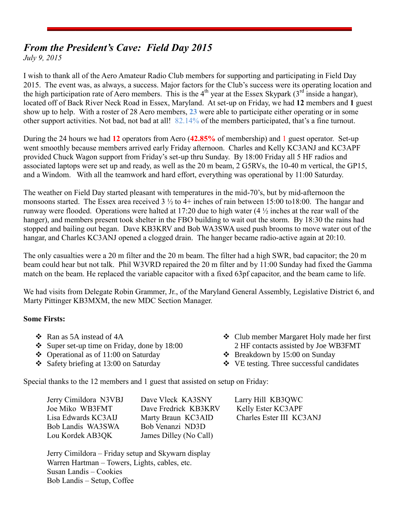#### *From the President's Cave: Field Day 2015*

*July 9, 2015*

I wish to thank all of the Aero Amateur Radio Club members for supporting and participating in Field Day 2015. The event was, as always, a success. Major factors for the Club's success were its operating location and the high participation rate of Aero members. This is the 4<sup>th</sup> year at the Essex Skypark (3<sup>rd</sup> inside a hangar), located off of Back River Neck Road in Essex, Maryland. At set-up on Friday, we had **12** members and **1** guest show up to help. With a roster of 28 Aero members, **23** were able to participate either operating or in some other support activities. Not bad, not bad at all! 82.14% of the members participated, that's a fine turnout.

During the 24 hours we had **12** operators from Aero (**42.85%** of membership) and 1 guest operator. Set-up went smoothly because members arrived early Friday afternoon. Charles and Kelly KC3ANJ and KC3APF provided Chuck Wagon support from Friday's set-up thru Sunday. By 18:00 Friday all 5 HF radios and associated laptops were set up and ready, as well as the 20 m beam, 2 G5RVs, the 10-40 m vertical, the GP15, and a Windom. With all the teamwork and hard effort, everything was operational by 11:00 Saturday.

The weather on Field Day started pleasant with temperatures in the mid-70's, but by mid-afternoon the monsoons started. The Essex area received 3 ½ to 4+ inches of rain between 15:00 to18:00. The hangar and runway were flooded. Operations were halted at 17:20 due to high water  $(4\frac{1}{2})$  inches at the rear wall of the hanger), and members present took shelter in the FBO building to wait out the storm. By 18:30 the rains had stopped and bailing out began. Dave KB3KRV and Bob WA3SWA used push brooms to move water out of the hangar, and Charles KC3ANJ opened a clogged drain. The hanger became radio-active again at 20:10.

The only casualties were a 20 m filter and the 20 m beam. The filter had a high SWR, bad capacitor; the 20 m beam could hear but not talk. Phil W3VRD repaired the 20 m filter and by 11:00 Sunday had fixed the Gamma match on the beam. He replaced the variable capacitor with a fixed 63pf capacitor, and the beam came to life.

We had visits from Delegate Robin Grammer, Jr., of the Maryland General Assembly, Legislative District 6, and Marty Pittinger KB3MXM, the new MDC Section Manager.

#### **Some Firsts:**

- Ran as 5A instead of 4A
- Super set-up time on Friday, done by  $18:00$
- $\triangle$  Operational as of 11:00 on Saturday
- $\div$  Safety briefing at 13:00 on Saturday
- Club member Margaret Holy made her first 2 HF contacts assisted by Joe WB3FMT
- Breakdown by 15:00 on Sunday
- VE testing. Three successful candidates

Special thanks to the 12 members and 1 guest that assisted on setup on Friday:

| Jerry Cimildora N3VBJ | Dave Vleck KA3SNY      | Larry Hill KB3QWC        |
|-----------------------|------------------------|--------------------------|
| Joe Miko WB3FMT       | Dave Fredrick KB3KRV   | Kelly Ester KC3APF       |
| Lisa Edwards KC3AIJ   | Marty Braun KC3AID     | Charles Ester III KC3ANJ |
| Bob Landis WA3SWA     | Bob Venanzi ND3D       |                          |
| Lou Kordek AB3QK      | James Dilley (No Call) |                          |

Jerry Cimildora – Friday setup and Skywarn display Warren Hartman – Towers, Lights, cables, etc. Susan Landis – Cookies Bob Landis – Setup, Coffee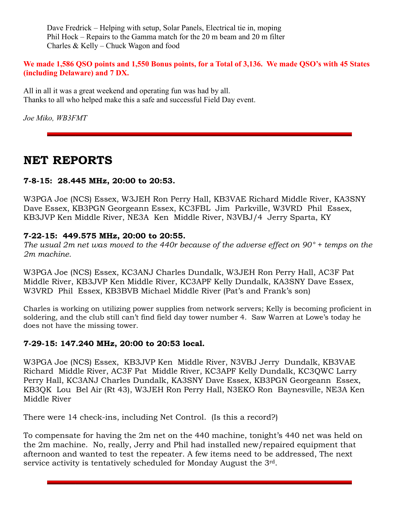Dave Fredrick – Helping with setup, Solar Panels, Electrical tie in, moping Phil Hock – Repairs to the Gamma match for the 20 m beam and 20 m filter Charles & Kelly – Chuck Wagon and food

**We made 1,586 QSO points and 1,550 Bonus points, for a Total of 3,136. We made QSO's with 45 States (including Delaware) and 7 DX.**

All in all it was a great weekend and operating fun was had by all. Thanks to all who helped make this a safe and successful Field Day event.

*Joe Miko, WB3FMT*

#### **NET REPORTS**

#### **7-8-15: 28.445 MHz, 20:00 to 20:53.**

W3PGA Joe (NCS) Essex, W3JEH Ron Perry Hall, KB3VAE Richard Middle River, KA3SNY Dave Essex, KB3PGN Georgeann Essex, KC3FBL Jim Parkville, W3VRD Phil Essex, KB3JVP Ken Middle River, NE3A Ken Middle River, N3VBJ/4 Jerry Sparta, KY

#### **7-22-15: 449.575 MHz, 20:00 to 20:55.**

*The usual 2m net was moved to the 440r because of the adverse effect on 90° + temps on the 2m machine.*

W3PGA Joe (NCS) Essex, KC3ANJ Charles Dundalk, W3JEH Ron Perry Hall, AC3F Pat Middle River, KB3JVP Ken Middle River, KC3APF Kelly Dundalk, KA3SNY Dave Essex, W3VRD Phil Essex, KB3BVB Michael Middle River (Pat's and Frank's son)

Charles is working on utilizing power supplies from network servers; Kelly is becoming proficient in soldering, and the club still can't find field day tower number 4. Saw Warren at Lowe's today he does not have the missing tower.

#### **7-29-15: 147.240 MHz, 20:00 to 20:53 local.**

W3PGA Joe (NCS) Essex, KB3JVP Ken Middle River, N3VBJ Jerry Dundalk, KB3VAE Richard Middle River, AC3F Pat Middle River, KC3APF Kelly Dundalk, KC3QWC Larry Perry Hall, KC3ANJ Charles Dundalk, KA3SNY Dave Essex, KB3PGN Georgeann Essex, KB3QK Lou Bel Air (Rt 43), W3JEH Ron Perry Hall, N3EKO Ron Baynesville, NE3A Ken Middle River

There were 14 check-ins, including Net Control. (Is this a record?)

To compensate for having the 2m net on the 440 machine, tonight's 440 net was held on the 2m machine. No, really, Jerry and Phil had installed new/repaired equipment that afternoon and wanted to test the repeater. A few items need to be addressed, The next service activity is tentatively scheduled for Monday August the 3rd.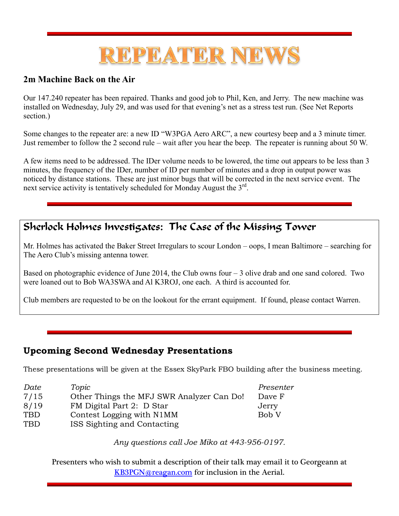## REPEATER NEWS

#### **2m Machine Back on the Air**

Our 147.240 repeater has been repaired. Thanks and good job to Phil, Ken, and Jerry. The new machine was installed on Wednesday, July 29, and was used for that evening's net as a stress test run. (See Net Reports section.)

Some changes to the repeater are: a new ID "W3PGA Aero ARC", a new courtesy beep and a 3 minute timer. Just remember to follow the 2 second rule – wait after you hear the beep. The repeater is running about 50 W.

A few items need to be addressed. The IDer volume needs to be lowered, the time out appears to be less than 3 minutes, the frequency of the IDer, number of ID per number of minutes and a drop in output power was noticed by distance stations. These are just minor bugs that will be corrected in the next service event. The next service activity is tentatively scheduled for Monday August the 3rd.

#### Sherlock Holmes Investigates: The Case of the Missing Tower

Mr. Holmes has activated the Baker Street Irregulars to scour London – oops, I mean Baltimore – searching for The Aero Club's missing antenna tower.

Based on photographic evidence of June 2014, the Club owns four – 3 olive drab and one sand colored. Two were loaned out to Bob WA3SWA and Al K3ROJ, one each. A third is accounted for.

Club members are requested to be on the lookout for the errant equipment. If found, please contact Warren.

#### **Upcoming Second Wednesday Presentations**

These presentations will be given at the Essex SkyPark FBO building after the business meeting.

| Date | Topic                                     | Presenter |
|------|-------------------------------------------|-----------|
| 7/15 | Other Things the MFJ SWR Analyzer Can Do! | Dave F    |
| 8/19 | FM Digital Part 2: D Star                 | Jerry     |
| TBD  | Contest Logging with N1MM                 | Bob V     |
| TBD  | ISS Sighting and Contacting               |           |

*Any questions call Joe Miko at 443-956-0197.*

Presenters who wish to submit a description of their talk may email it to Georgeann at [KB3PGN@reagan.com](mailto:KB3PGN@reagan.com) for inclusion in the Aerial.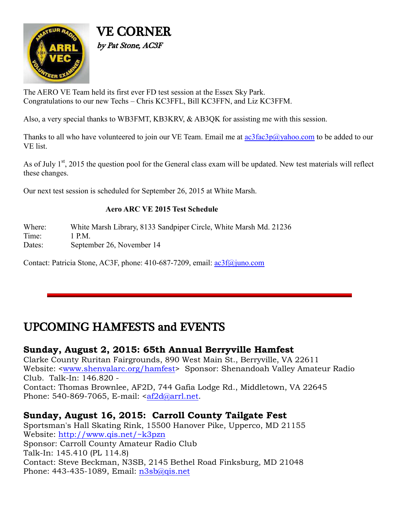

VE CORNER by Pat Stone, AC3F

The AERO VE Team held its first ever FD test session at the Essex Sky Park. Congratulations to our new Techs – Chris KC3FFL, Bill KC3FFN, and Liz KC3FFM.

Also, a very special thanks to WB3FMT, KB3KRV, & AB3QK for assisting me with this session.

Thanks to all who have volunteered to join our VE Team. Email me at  $ac3fac3p@yahoo.com$  to be added to our VE list.

As of July 1<sup>st</sup>, 2015 the question pool for the General class exam will be updated. New test materials will reflect these changes.

Our next test session is scheduled for September 26, 2015 at White Marsh.

#### **Aero ARC VE 2015 Test Schedule**

Where: White Marsh Library, 8133 Sandpiper Circle, White Marsh Md. 21236 Time: 1 PM

Dates: September 26, November 14

Contact: Patricia Stone, AC3F, phone: 410-687-7209, email: [ac3f@juno.com](mailto:ac3f@juno.com)

#### UPCOMING HAMFESTS and EVENTS

#### **Sunday, August 2, 2015: 65th Annual Berryville Hamfest**

Clarke County Ruritan Fairgrounds, 890 West Main St., Berryville, VA 22611 Website: [<www.shenvalarc.org/hamfest>](http://www.shenvalarc.org/hamfest) Sponsor: Shenandoah Valley Amateur Radio Club. Talk-In: 146.820 -

Contact: Thomas Brownlee, AF2D, 744 Gafia Lodge Rd., Middletown, VA 22645 Phone: 540-869-7065, E-mail: [<af2d@arrl.net.](mailto:af2d@arrl.net)

#### **Sunday, August 16, 2015: Carroll County Tailgate Fest**

Sportsman's Hall Skating Rink, 15500 Hanover Pike, Upperco, MD 21155 Website:<http://www.qis.net/~k3pzn> Sponsor: Carroll County Amateur Radio Club Talk-In: 145.410 (PL 114.8) Contact: Steve Beckman, N3SB, 2145 Bethel Road Finksburg, MD 21048 Phone: 443-435-1089, Email: [n3sb@qis.net](mailto:n3sb@qis.net)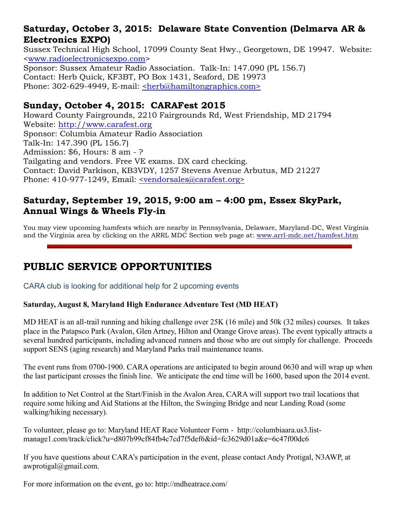#### **Saturday, October 3, 2015: Delaware State Convention (Delmarva AR & Electronics EXPO)**

Sussex Technical High School, 17099 County Seat Hwy., Georgetown, DE 19947. Website: [<www.radioelectronicsexpo.com>](http://www.radioelectronicsexpo.com/) Sponsor: Sussex Amateur Radio Association. Talk-In: 147.090 (PL 156.7) Contact: Herb Quick, KF3BT, PO Box 1431, Seaford, DE 19973 Phone: 302-629-4949, E-mail: [<herb@hamiltongraphics.com>](mailto:herb@hamiltongraphics.com)

#### **Sunday, October 4, 2015: CARAFest 2015**

Howard County Fairgrounds, 2210 Fairgrounds Rd, West Friendship, MD 21794 Website: [http://www.carafest.org](http://www.carafest.org/) Sponsor: Columbia Amateur Radio Association Talk-In: 147.390 (PL 156.7) Admission: \$6, Hours: 8 am - ? Tailgating and vendors. Free VE exams. DX card checking. Contact: David Parkison, KB3VDY, 1257 Stevens Avenue Arbutus, MD 21227 Phone: 410-977-1249, Email: [<vendorsales@carafest.org>](mailto:vendorsales@carafest.org)

#### **Saturday, September 19, 2015, 9:00 am – 4:00 pm, Essex SkyPark, Annual Wings & Wheels Fly-in**

You may view upcoming hamfests which are nearby in Pennsylvania, Delaware, Maryland-DC, West Virginia and the Virginia area by clicking on the ARRL MDC Section web page at: [www.arrl-mdc.net/hamfest.htm](http://www.arrl-mdc.net/hamfest.htm)

#### **PUBLIC SERVICE OPPORTUNITIES**

CARA club is looking for additional help for 2 upcoming events

#### **Saturday, August 8, Maryland High Endurance Adventure Test (MD HEAT)**

MD HEAT is an all-trail running and hiking challenge over 25K (16 mile) and 50k (32 miles) courses. It takes place in the Patapsco Park (Avalon, Glen Artney, Hilton and Orange Grove areas). The event typically attracts a several hundred participants, including advanced runners and those who are out simply for challenge. Proceeds support SENS (aging research) and Maryland Parks trail maintenance teams.

The event runs from 0700-1900. CARA operations are anticipated to begin around 0630 and will wrap up when the last participant crosses the finish line. We anticipate the end time will be 1600, based upon the 2014 event.

In addition to Net Control at the Start/Finish in the Avalon Area, CARA will support two trail locations that require some hiking and Aid Stations at the Hilton, the Swinging Bridge and near Landing Road (some walking/hiking necessary).

To volunteer, please go to: Maryland HEAT Race Volunteer Form - http://columbiaara.us3.listmanage1.com/track/click?u=d807b99cf84fb4c7cd7f5def6&id=fc3629d01a&e=6c47f00dc6

If you have questions about CARA's participation in the event, please contact Andy Protigal, N3AWP, at awprotigal@gmail.com.

For more information on the event, go to: http://mdheatrace.com/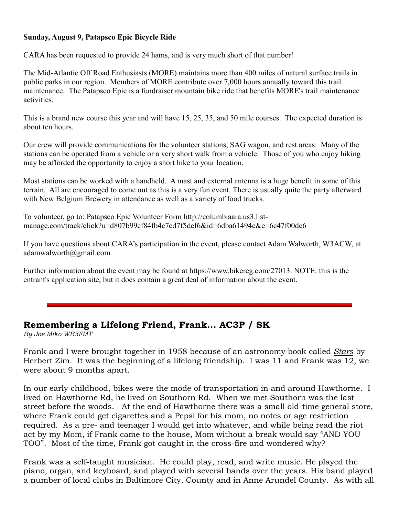#### **Sunday, August 9, Patapsco Epic Bicycle Ride**

CARA has been requested to provide 24 hams, and is very much short of that number!

The Mid-Atlantic Off Road Enthusiasts (MORE) maintains more than 400 miles of natural surface trails in public parks in our region. Members of MORE contribute over 7,000 hours annually toward this trail maintenance. The Patapsco Epic is a fundraiser mountain bike ride that benefits MORE's trail maintenance activities.

This is a brand new course this year and will have 15, 25, 35, and 50 mile courses. The expected duration is about ten hours.

Our crew will provide communications for the volunteer stations, SAG wagon, and rest areas. Many of the stations can be operated from a vehicle or a very short walk from a vehicle. Those of you who enjoy hiking may be afforded the opportunity to enjoy a short hike to your location.

Most stations can be worked with a handheld. A mast and external antenna is a huge benefit in some of this terrain. All are encouraged to come out as this is a very fun event. There is usually quite the party afterward with New Belgium Brewery in attendance as well as a variety of food trucks.

To volunteer, go to: Patapsco Epic Volunteer Form http://columbiaara.us3.listmanage.com/track/click?u=d807b99cf84fb4c7cd7f5def6&id=6dba61494c&e=6c47f00dc6

If you have questions about CARA's participation in the event, please contact Adam Walworth, W3ACW, at adamwalworth@gmail.com

Further information about the event may be found at https://www.bikereg.com/27013. NOTE: this is the entrant's application site, but it does contain a great deal of information about the event.

#### **Remembering a Lifelong Friend, Frank... AC3P / SK**

*By Joe Miko WB3FMT*

Frank and I were brought together in 1958 because of an astronomy book called *Stars* by Herbert Zim. It was the beginning of a lifelong friendship. I was 11 and Frank was 12, we were about 9 months apart.

In our early childhood, bikes were the mode of transportation in and around Hawthorne. I lived on Hawthorne Rd, he lived on Southorn Rd. When we met Southorn was the last street before the woods. At the end of Hawthorne there was a small old-time general store, where Frank could get cigarettes and a Pepsi for his mom, no notes or age restriction required. As a pre- and teenager I would get into whatever, and while being read the riot act by my Mom, if Frank came to the house, Mom without a break would say "AND YOU TOO". Most of the time, Frank got caught in the cross-fire and wondered why?

Frank was a self-taught musician. He could play, read, and write music. He played the piano, organ, and keyboard, and played with several bands over the years. His band played a number of local clubs in Baltimore City, County and in Anne Arundel County. As with all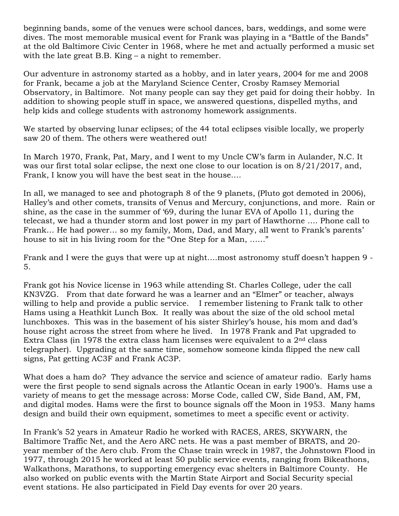beginning bands, some of the venues were school dances, bars, weddings, and some were dives. The most memorable musical event for Frank was playing in a "Battle of the Bands" at the old Baltimore Civic Center in 1968, where he met and actually performed a music set with the late great B.B. King – a night to remember.

Our adventure in astronomy started as a hobby, and in later years, 2004 for me and 2008 for Frank, became a job at the Maryland Science Center, Crosby Ramsey Memorial Observatory, in Baltimore. Not many people can say they get paid for doing their hobby. In addition to showing people stuff in space, we answered questions, dispelled myths, and help kids and college students with astronomy homework assignments.

We started by observing lunar eclipses; of the 44 total eclipses visible locally, we properly saw 20 of them. The others were weathered out!

In March 1970, Frank, Pat, Mary, and I went to my Uncle CW's farm in Aulander, N.C. It was our first total solar eclipse, the next one close to our location is on 8/21/2017, and, Frank, I know you will have the best seat in the house….

In all, we managed to see and photograph 8 of the 9 planets, (Pluto got demoted in 2006), Halley's and other comets, transits of Venus and Mercury, conjunctions, and more. Rain or shine, as the case in the summer of '69, during the lunar EVA of Apollo 11, during the telecast, we had a thunder storm and lost power in my part of Hawthorne …. Phone call to Frank… He had power… so my family, Mom, Dad, and Mary, all went to Frank's parents' house to sit in his living room for the "One Step for a Man, ......"

Frank and I were the guys that were up at night….most astronomy stuff doesn't happen 9 - 5.

Frank got his Novice license in 1963 while attending St. Charles College, uder the call KN3VZG. From that date forward he was a learner and an "Elmer" or teacher, always willing to help and provide a public service. I remember listening to Frank talk to other Hams using a Heathkit Lunch Box. It really was about the size of the old school metal lunchboxes. This was in the basement of his sister Shirley's house, his mom and dad's house right across the street from where he lived. In 1978 Frank and Pat upgraded to Extra Class (in 1978 the extra class ham licenses were equivalent to a  $2<sup>nd</sup>$  class telegrapher). Upgrading at the same time, somehow someone kinda flipped the new call signs, Pat getting AC3F and Frank AC3P.

What does a ham do? They advance the service and science of amateur radio. Early hams were the first people to send signals across the Atlantic Ocean in early 1900's. Hams use a variety of means to get the message across: Morse Code, called CW, Side Band, AM, FM, and digital modes. Hams were the first to bounce signals off the Moon in 1953. Many hams design and build their own equipment, sometimes to meet a specific event or activity.

In Frank's 52 years in Amateur Radio he worked with RACES, ARES, SKYWARN, the Baltimore Traffic Net, and the Aero ARC nets. He was a past member of BRATS, and 20 year member of the Aero club. From the Chase train wreck in 1987, the Johnstown Flood in 1977, through 2015 he worked at least 50 public service events, ranging from Bikeathons, Walkathons, Marathons, to supporting emergency evac shelters in Baltimore County. He also worked on public events with the Martin State Airport and Social Security special event stations. He also participated in Field Day events for over 20 years.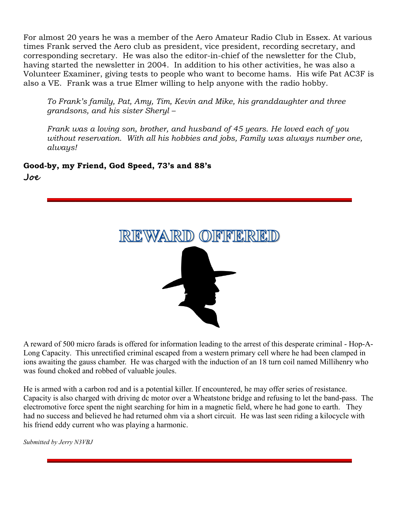For almost 20 years he was a member of the Aero Amateur Radio Club in Essex. At various times Frank served the Aero club as president, vice president, recording secretary, and corresponding secretary. He was also the editor-in-chief of the newsletter for the Club, having started the newsletter in 2004. In addition to his other activities, he was also a Volunteer Examiner, giving tests to people who want to become hams. His wife Pat AC3F is also a VE. Frank was a true Elmer willing to help anyone with the radio hobby.

*To Frank's family, Pat, Amy, Tim, Kevin and Mike, his granddaughter and three grandsons, and his sister Sheryl –*

*Frank was a loving son, brother, and husband of 45 years. He loved each of you without reservation. With all his hobbies and jobs, Family was always number one, always!*

**Good-by, my Friend, God Speed, 73's and 88's, Joe**



A reward of 500 micro farads is offered for information leading to the arrest of this desperate criminal - Hop-A-Long Capacity. This unrectified criminal escaped from a western primary cell where he had been clamped in ions awaiting the gauss chamber. He was charged with the induction of an 18 turn coil named Millihenry who was found choked and robbed of valuable joules.

He is armed with a carbon rod and is a potential killer. If encountered, he may offer series of resistance. Capacity is also charged with driving dc motor over a Wheatstone bridge and refusing to let the band-pass. The electromotive force spent the night searching for him in a magnetic field, where he had gone to earth. They had no success and believed he had returned ohm via a short circuit. He was last seen riding a kilocycle with his friend eddy current who was playing a harmonic.

*Submitted by Jerry N3VBJ*